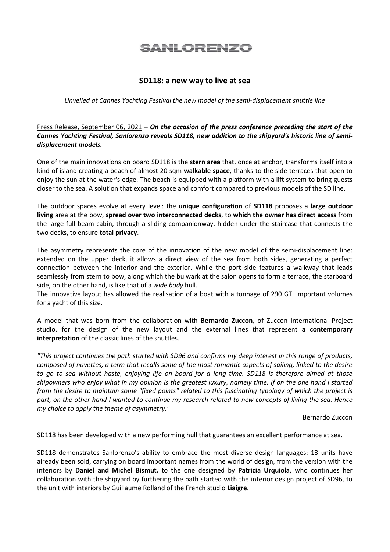## **SANLORENZO**

## SD118: a new way to live at sea

Unveiled at Cannes Yachting Festival the new model of the semi-displacement shuttle line

Press Release, September 06, 2021 – On the occasion of the press conference preceding the start of the Cannes Yachting Festival, Sanlorenzo reveals SD118, new addition to the shipyard's historic line of semidisplacement models.

One of the main innovations on board SD118 is the stern area that, once at anchor, transforms itself into a kind of island creating a beach of almost 20 sqm **walkable space**, thanks to the side terraces that open to enjoy the sun at the water's edge. The beach is equipped with a platform with a lift system to bring guests closer to the sea. A solution that expands space and comfort compared to previous models of the SD line.

The outdoor spaces evolve at every level: the unique configuration of SD118 proposes a large outdoor living area at the bow, spread over two interconnected decks, to which the owner has direct access from the large full-beam cabin, through a sliding companionway, hidden under the staircase that connects the two decks, to ensure total privacy.

The asymmetry represents the core of the innovation of the new model of the semi-displacement line: extended on the upper deck, it allows a direct view of the sea from both sides, generating a perfect connection between the interior and the exterior. While the port side features a walkway that leads seamlessly from stern to bow, along which the bulwark at the salon opens to form a terrace, the starboard side, on the other hand, is like that of a wide body hull.

The innovative layout has allowed the realisation of a boat with a tonnage of 290 GT, important volumes for a yacht of this size.

A model that was born from the collaboration with Bernardo Zuccon, of Zuccon International Project studio, for the design of the new layout and the external lines that represent a contemporary interpretation of the classic lines of the shuttles.

"This project continues the path started with SD96 and confirms my deep interest in this range of products, composed of navettes, a term that recalls some of the most romantic aspects of sailing, linked to the desire to go to sea without haste, enjoying life on board for a long time. SD118 is therefore aimed at those shipowners who enjoy what in my opinion is the greatest luxury, namely time. If on the one hand I started from the desire to maintain some "fixed points" related to this fascinating typology of which the project is part, on the other hand I wanted to continue my research related to new concepts of living the sea. Hence my choice to apply the theme of asymmetry."

Bernardo Zuccon

SD118 has been developed with a new performing hull that guarantees an excellent performance at sea.

SD118 demonstrates Sanlorenzo's ability to embrace the most diverse design languages: 13 units have already been sold, carrying on board important names from the world of design, from the version with the interiors by Daniel and Michel Bismut, to the one designed by Patricia Urquiola, who continues her collaboration with the shipyard by furthering the path started with the interior design project of SD96, to the unit with interiors by Guillaume Rolland of the French studio Liaigre.